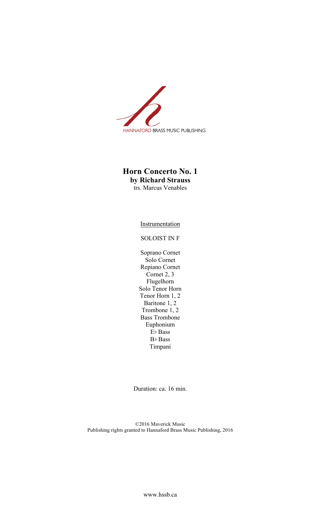

## **Horn Concerto No. 1 by Richard Strauss** trs. Marcus Venables

Instrumentation

## SOLOIST IN F

Soprano Cornet Solo Cornet Repiano Cornet Cornet 2, 3 Flugelhorn Solo Tenor Horn Tenor Horn 1, 2 Baritone 1, 2 Trombone  $1, 2$ Bass Trombone Euphonium E♭ Bass B♭ Bass Timpani

Duration: ca. 16 min.

©2016 Maverick Music Publishing rights granted to Hannaford Brass Music Publishing, 2016